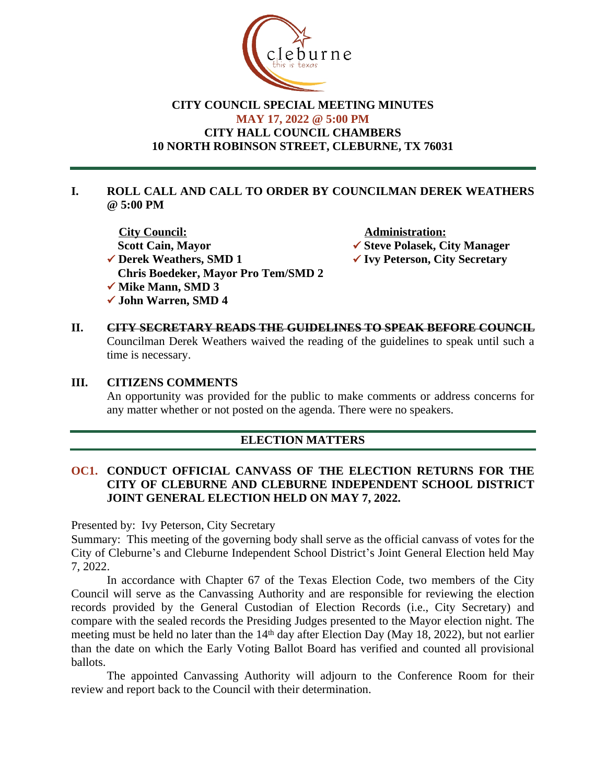

## **CITY COUNCIL SPECIAL MEETING MINUTES MAY 17, 2022 @ 5:00 PM CITY HALL COUNCIL CHAMBERS 10 NORTH ROBINSON STREET, CLEBURNE, TX 76031**

### **I. ROLL CALL AND CALL TO ORDER BY COUNCILMAN DEREK WEATHERS @ 5:00 PM**

**<u>City Council:</u><br>
Scott Cain, Mayor → Steve Polasek, Cinematic Scott Cain, Mayor → Steve Polasek, Cinematic Scott Cain, Mayor** ü **Derek Weathers, SMD 1** ü **Ivy Peterson, City Secretary Chris Boedeker, Mayor Pro Tem/SMD 2 ✓ Mike Mann, SMD 3** ü **John Warren, SMD 4**

- **✔ Steve Polasek, City Manager**
- 
- **II. CITY SECRETARY READS THE GUIDELINES TO SPEAK BEFORE COUNCIL** Councilman Derek Weathers waived the reading of the guidelines to speak until such a time is necessary.

#### **III. CITIZENS COMMENTS**

An opportunity was provided for the public to make comments or address concerns for any matter whether or not posted on the agenda. There were no speakers.

# **ELECTION MATTERS**

## **OC1. CONDUCT OFFICIAL CANVASS OF THE ELECTION RETURNS FOR THE CITY OF CLEBURNE AND CLEBURNE INDEPENDENT SCHOOL DISTRICT JOINT GENERAL ELECTION HELD ON MAY 7, 2022.**

Presented by: Ivy Peterson, City Secretary

Summary: This meeting of the governing body shall serve as the official canvass of votes for the City of Cleburne's and Cleburne Independent School District's Joint General Election held May 7, 2022.

In accordance with Chapter 67 of the Texas Election Code, two members of the City Council will serve as the Canvassing Authority and are responsible for reviewing the election records provided by the General Custodian of Election Records (i.e., City Secretary) and compare with the sealed records the Presiding Judges presented to the Mayor election night. The meeting must be held no later than the  $14<sup>th</sup>$  day after Election Day (May 18, 2022), but not earlier than the date on which the Early Voting Ballot Board has verified and counted all provisional ballots.

The appointed Canvassing Authority will adjourn to the Conference Room for their review and report back to the Council with their determination.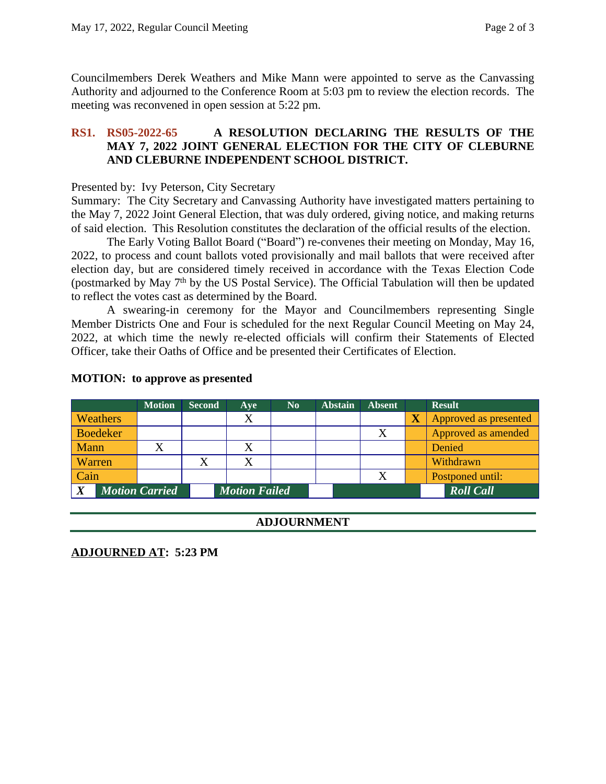Councilmembers Derek Weathers and Mike Mann were appointed to serve as the Canvassing Authority and adjourned to the Conference Room at 5:03 pm to review the election records. The meeting was reconvened in open session at 5:22 pm.

## **RS1. RS05-2022-65 A RESOLUTION DECLARING THE RESULTS OF THE MAY 7, 2022 JOINT GENERAL ELECTION FOR THE CITY OF CLEBURNE AND CLEBURNE INDEPENDENT SCHOOL DISTRICT.**

#### Presented by: Ivy Peterson, City Secretary

Summary: The City Secretary and Canvassing Authority have investigated matters pertaining to the May 7, 2022 Joint General Election, that was duly ordered, giving notice, and making returns of said election. This Resolution constitutes the declaration of the official results of the election.

The Early Voting Ballot Board ("Board") re-convenes their meeting on Monday, May 16, 2022, to process and count ballots voted provisionally and mail ballots that were received after election day, but are considered timely received in accordance with the Texas Election Code (postmarked by May 7<sup>th</sup> by the US Postal Service). The Official Tabulation will then be updated to reflect the votes cast as determined by the Board.

A swearing-in ceremony for the Mayor and Councilmembers representing Single Member Districts One and Four is scheduled for the next Regular Council Meeting on May 24, 2022, at which time the newly re-elected officials will confirm their Statements of Elected Officer, take their Oaths of Office and be presented their Certificates of Election.

|                            | <b>Motion</b> | <b>Second</b> | Ave                  | N <sub>0</sub> | <b>Abstain</b> | <b>Absent</b>    |                         | <b>Result</b>         |
|----------------------------|---------------|---------------|----------------------|----------------|----------------|------------------|-------------------------|-----------------------|
| Weathers                   |               |               | X                    |                |                |                  | $\overline{\textbf{X}}$ | Approved as presented |
| <b>Boedeker</b>            |               |               |                      |                |                | X                |                         | Approved as amended   |
| Mann                       |               |               | X                    |                |                |                  |                         | Denied                |
| Warren                     |               |               | X                    |                |                |                  |                         | Withdrawn             |
| Cain                       |               |               |                      |                |                | X                |                         | Postponed until:      |
| <b>Motion Carried</b><br>X |               |               | <b>Motion Failed</b> |                |                | <b>Roll Call</b> |                         |                       |

#### **MOTION: to approve as presented**

#### **ADJOURNMENT**

## **ADJOURNED AT: 5:23 PM**